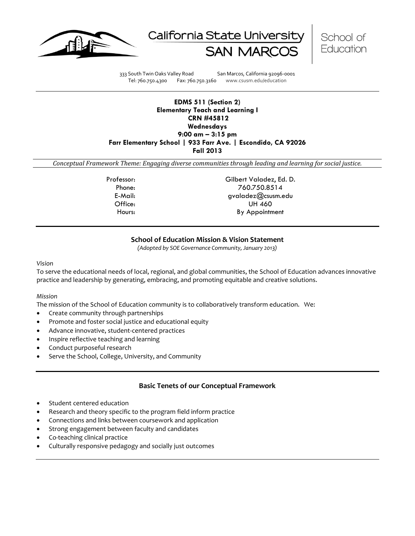





333 South Twin Oaks Valley Road San Marcos, California 92096-0001 Tel: 760.750.4300 Fax: 760.750.3160 www.csusm.edu/education

## **EDMS 511 (Section 2) Elementary Teach and Learning I CRN #45812 Wednesdays 9:00 am – 3:15 pm Farr Elementary School | 933 Farr Ave. | Escondido, CA 92026 Fall 2013**

*Conceptual Framework Theme: Engaging diverse communities through leading and learning for social justice.*

Professor: Gilbert Valadez, Ed. D. Phone: 760.750.8514 E-Mail: gvaladez@csusm.edu Office: UH 460 Hours: By Appointment

# **School of Education Mission & Vision Statement**

*(Adopted by SOE Governance Community, January 2013)*

*Vision*

To serve the educational needs of local, regional, and global communities, the School of Education advances innovative practice and leadership by generating, embracing, and promoting equitable and creative solutions.

## *Mission*

The mission of the School of Education community is to collaboratively transform education. We:

- Create community through partnerships
- Promote and foster social justice and educational equity
- Advance innovative, student-centered practices
- Inspire reflective teaching and learning
- Conduct purposeful research
- Serve the School, College, University, and Community

## **Basic Tenets of our Conceptual Framework**

- Student centered education
- Research and theory specific to the program field inform practice
- Connections and links between coursework and application
- Strong engagement between faculty and candidates
- Co-teaching clinical practice
- Culturally responsive pedagogy and socially just outcomes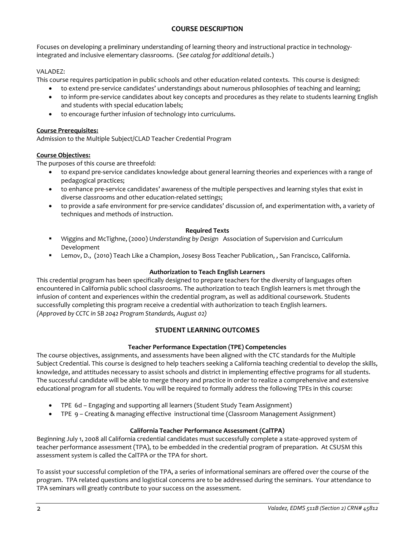# **COURSE DESCRIPTION**

Focuses on developing a preliminary understanding of learning theory and instructional practice in technologyintegrated and inclusive elementary classrooms. (*See catalog for additional details*.)

# VALADEZ:

This course requires participation in public schools and other education-related contexts. This course is designed:

- to extend pre-service candidates' understandings about numerous philosophies of teaching and learning;
- to inform pre-service candidates about key concepts and procedures as they relate to students learning English and students with special education labels;
- to encourage further infusion of technology into curriculums.

# **Course Prerequisites:**

Admission to the Multiple Subject/CLAD Teacher Credential Program

# **Course Objectives:**

The purposes of this course are threefold:

- to expand pre-service candidates knowledge about general learning theories and experiences with a range of pedagogical practices;
- to enhance pre-service candidates' awareness of the multiple perspectives and learning styles that exist in diverse classrooms and other education-related settings;
- to provide a safe environment for pre-service candidates' discussion of, and experimentation with, a variety of techniques and methods of instruction.

## **Required Texts**

- Wiggins and McTighne, (2000) *Understanding by Design* Association of Supervision and Curriculum Development
- Lemov, D., (2010) Teach Like a Champion, Josesy Boss Teacher Publication, , San Francisco, California.

# **Authorization to Teach English Learners**

This credential program has been specifically designed to prepare teachers for the diversity of languages often encountered in California public school classrooms. The authorization to teach English learners is met through the infusion of content and experiences within the credential program, as well as additional coursework. Students successfully completing this program receive a credential with authorization to teach English learners. *(Approved by CCTC in SB 2042 Program Standards, August 02)*

# **STUDENT LEARNING OUTCOMES**

## **Teacher Performance Expectation (TPE) Competencies**

The course objectives, assignments, and assessments have been aligned with the CTC standards for the Multiple Subject Credential. This course is designed to help teachers seeking a California teaching credential to develop the skills, knowledge, and attitudes necessary to assist schools and district in implementing effective programs for all students. The successful candidate will be able to merge theory and practice in order to realize a comprehensive and extensive educational program for all students. You will be required to formally address the following TPEs in this course:

- TPE 6d Engaging and supporting all learners (Student Study Team Assignment)
- TPE 9 Creating & managing effective instructional time (Classroom Management Assignment)

# **California Teacher Performance Assessment (CalTPA)**

Beginning July 1, 2008 all California credential candidates must successfully complete a state-approved system of teacher performance assessment (TPA), to be embedded in the credential program of preparation. At CSUSM this assessment system is called the CalTPA or the TPA for short.

To assist your successful completion of the TPA, a series of informational seminars are offered over the course of the program. TPA related questions and logistical concerns are to be addressed during the seminars. Your attendance to TPA seminars will greatly contribute to your success on the assessment.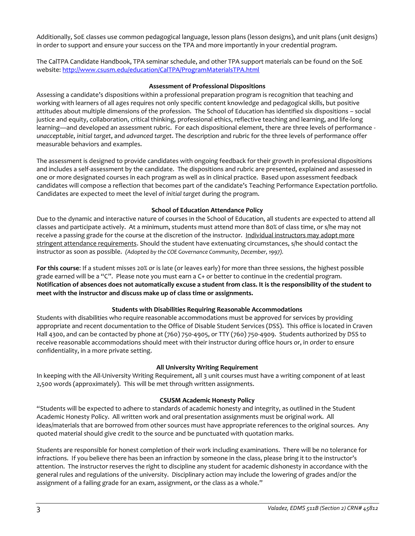Additionally, SoE classes use common pedagogical language, lesson plans (lesson designs), and unit plans (unit designs) in order to support and ensure your success on the TPA and more importantly in your credential program.

The CalTPA Candidate Handbook, TPA seminar schedule, and other TPA support materials can be found on the SoE website:<http://www.csusm.edu/education/CalTPA/ProgramMaterialsTPA.html>

## **Assessment of Professional Dispositions**

Assessing a candidate's dispositions within a professional preparation program is recognition that teaching and working with learners of all ages requires not only specific content knowledge and pedagogical skills, but positive attitudes about multiple dimensions of the profession. The School of Education has identified six dispositions – social justice and equity, collaboration, critical thinking, professional ethics, reflective teaching and learning, and life-long learning—and developed an assessment rubric. For each dispositional element, there are three levels of performance *unacceptable*, *initial target*, and *advanced target*. The description and rubric for the three levels of performance offer measurable behaviors and examples.

The assessment is designed to provide candidates with ongoing feedback for their growth in professional dispositions and includes a self-assessment by the candidate. The dispositions and rubric are presented, explained and assessed in one or more designated courses in each program as well as in clinical practice. Based upon assessment feedback candidates will compose a reflection that becomes part of the candidate's Teaching Performance Expectation portfolio. Candidates are expected to meet the level of *initial target* during the program.

## **School of Education Attendance Policy**

Due to the dynamic and interactive nature of courses in the School of Education, all students are expected to attend all classes and participate actively. At a minimum, students must attend more than 80% of class time, or s/he may not receive a passing grade for the course at the discretion of the instructor. Individual instructors may adopt more stringent attendance requirements. Should the student have extenuating circumstances, s/he should contact the instructor as soon as possible. *(Adopted by the COE Governance Community, December, 1997).*

**For this course**: If a student misses 20% or is late (or leaves early) for more than three sessions, the highest possible grade earned will be a "C". Please note you must earn a C+ or better to continue in the credential program. **Notification of absences does not automatically excuse a student from class. It is the responsibility of the student to meet with the instructor and discuss make up of class time or assignments.**

## **Students with Disabilities Requiring Reasonable Accommodations**

Students with disabilities who require reasonable accommodations must be approved for services by providing appropriate and recent documentation to the Office of Disable Student Services (DSS). This office is located in Craven Hall 4300, and can be contacted by phone at (760) 750-4905, or TTY (760) 750-4909. Students authorized by DSS to receive reasonable accommodations should meet with their instructor during office hours or, in order to ensure confidentiality, in a more private setting.

## **All University Writing Requirement**

In keeping with the All-University Writing Requirement, all 3 unit courses must have a writing component of at least 2,500 words (approximately). This will be met through written assignments.

## **CSUSM Academic Honesty Policy**

"Students will be expected to adhere to standards of academic honesty and integrity, as outlined in the Student Academic Honesty Policy. All written work and oral presentation assignments must be original work. All ideas/materials that are borrowed from other sources must have appropriate references to the original sources. Any quoted material should give credit to the source and be punctuated with quotation marks.

Students are responsible for honest completion of their work including examinations. There will be no tolerance for infractions. If you believe there has been an infraction by someone in the class, please bring it to the instructor's attention. The instructor reserves the right to discipline any student for academic dishonesty in accordance with the general rules and regulations of the university. Disciplinary action may include the lowering of grades and/or the assignment of a failing grade for an exam, assignment, or the class as a whole."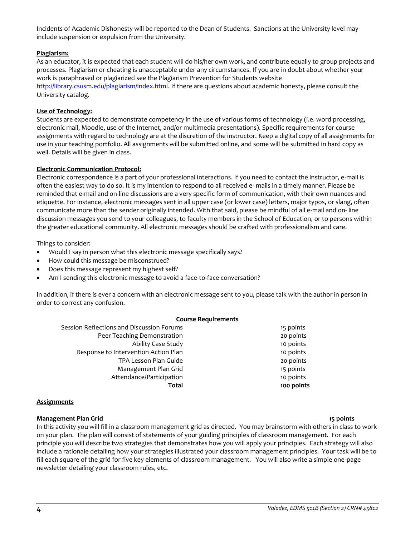http://library.csusm.edu/plagiarism/index.html. If there are questions about academic honesty, please consult the University catalog.

### **Use of Technology:**

**Plagiarism:**

Students are expected to demonstrate competency in the use of various forms of technology (i.e. word processing, electronic mail, Moodle, use of the Internet, and/or multimedia presentations). Specific requirements for course assignments with regard to technology are at the discretion of the instructor. Keep a digital copy of all assignments for use in your teaching portfolio. All assignments will be submitted online, and some will be submitted in hard copy as well. Details will be given in class.

Incidents of Academic Dishonesty will be reported to the Dean of Students. Sanctions at the University level may

work is paraphrased or plagiarized see the Plagiarism Prevention for Students website

As an educator, it is expected that each student will do his/her own work, and contribute equally to group projects and processes. Plagiarism or cheating is unacceptable under any circumstances. If you are in doubt about whether your

### **Electronic Communication Protocol:**

include suspension or expulsion from the University.

Electronic correspondence is a part of your professional interactions. If you need to contact the instructor, e-mail is often the easiest way to do so. It is my intention to respond to all received e- mails in a timely manner. Please be reminded that e-mail and on-line discussions are a very specific form of communication, with their own nuances and etiquette. For instance, electronic messages sent in all upper case (or lower case) letters, major typos, or slang, often communicate more than the sender originally intended. With that said, please be mindful of all e-mail and on- line discussion messages you send to your colleagues, to faculty members in the School of Education, or to persons within the greater educational community. All electronic messages should be crafted with professionalism and care.

Things to consider:

- Would I say in person what this electronic message specifically says?
- How could this message be misconstrued?
- Does this message represent my highest self?
- Am I sending this electronic message to avoid a face-to-face conversation?

In addition, if there is ever a concern with an electronic message sent to you, please talk with the author in person in order to correct any confusion.

### **Course Requirements**

| Total                                     | 100 points |
|-------------------------------------------|------------|
| Attendance/Participation                  | 10 points  |
| Management Plan Grid                      | 15 points  |
| TPA Lesson Plan Guide                     | 20 points  |
| Response to Intervention Action Plan      | 10 points  |
| Ability Case Study                        | 10 points  |
| Peer Teaching Demonstration               | 20 points  |
| Session Reflections and Discussion Forums | 15 points  |

### **Assignments**

### **Management Plan Grid 15 points**

In this activity you will fill in a classroom management grid as directed. You may brainstorm with others in class to work on your plan. The plan will consist of statements of your guiding principles of classroom management. For each principle you will describe two strategies that demonstrates how you will apply your principles. Each strategy will also include a rationale detailing how your strategies illustrated your classroom management principles. Your task will be to fill each square of the grid for five key elements of classroom management. You will also write a simple one-page newsletter detailing your classroom rules, etc.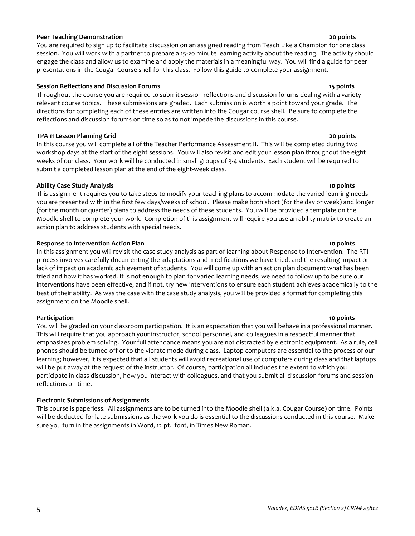## **Peer Teaching Demonstration 20 points**

You are required to sign up to facilitate discussion on an assigned reading from Teach Like a Champion for one class session. You will work with a partner to prepare a 15-20 minute learning activity about the reading. The activity should engage the class and allow us to examine and apply the materials in a meaningful way. You will find a guide for peer presentations in the Cougar Course shell for this class. Follow this guide to complete your assignment.

## **Session Reflections and Discussion Forums 15 points**

Throughout the course you are required to submit session reflections and discussion forums dealing with a variety relevant course topics. These submissions are graded. Each submission is worth a point toward your grade. The directions for completing each of these entries are written into the Cougar course shell. Be sure to complete the reflections and discussion forums on time so as to not impede the discussions in this course.

## **TPA 11 Lesson Planning Grid 20 points**

In this course you will complete all of the Teacher Performance Assessment II. This will be completed during two workshop days at the start of the eight sessions. You will also revisit and edit your lesson plan throughout the eight weeks of our class. Your work will be conducted in small groups of 3-4 students. Each student will be required to submit a completed lesson plan at the end of the eight-week class.

## **Ability Case Study Analysis 10 points**

This assignment requires you to take steps to modify your teaching plans to accommodate the varied learning needs you are presented with in the first few days/weeks of school. Please make both short (for the day or week) and longer (for the month or quarter) plans to address the needs of these students. You will be provided a template on the Moodle shell to complete your work. Completion of this assignment will require you use an ability matrix to create an action plan to address students with special needs.

## **Response to Intervention Action Plan 10 points**

In this assignment you will revisit the case study analysis as part of learning about Response to Intervention. The RTI process involves carefully documenting the adaptations and modifications we have tried, and the resulting impact or lack of impact on academic achievement of students. You will come up with an action plan document what has been tried and how it has worked. It is not enough to plan for varied learning needs, we need to follow up to be sure our interventions have been effective, and if not, try new interventions to ensure each student achieves academically to the best of their ability. As was the case with the case study analysis, you will be provided a format for completing this assignment on the Moodle shell.

**Participation 10 points** You will be graded on your classroom participation. It is an expectation that you will behave in a professional manner. This will require that you approach your instructor, school personnel, and colleagues in a respectful manner that emphasizes problem solving. Your full attendance means you are not distracted by electronic equipment. As a rule, cell phones should be turned off or to the vibrate mode during class. Laptop computers are essential to the process of our learning; however, it is expected that all students will avoid recreational use of computers during class and that laptops will be put away at the request of the instructor. Of course, participation all includes the extent to which you participate in class discussion, how you interact with colleagues, and that you submit all discussion forums and session reflections on time.

## **Electronic Submissions of Assignments**

This course is paperless. All assignments are to be turned into the Moodle shell (a.k.a. Cougar Course) on time. Points will be deducted for late submissions as the work you do is essential to the discussions conducted in this course. Make sure you turn in the assignments in Word, 12 pt. font, in Times New Roman.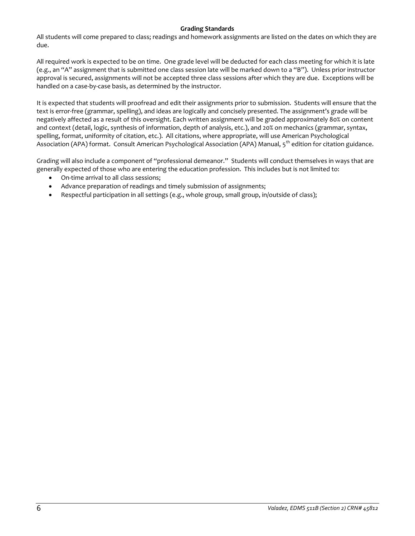## **Grading Standards**

All students will come prepared to class; readings and homework assignments are listed on the dates on which they are due.

All required work is expected to be on time. One grade level will be deducted for each class meeting for which it is late (e.g., an "A" assignment that is submitted one class session late will be marked down to a "B"). Unless prior instructor approval is secured, assignments will not be accepted three class sessions after which they are due. Exceptions will be handled on a case-by-case basis, as determined by the instructor.

It is expected that students will proofread and edit their assignments prior to submission. Students will ensure that the text is error-free (grammar, spelling), and ideas are logically and concisely presented. The assignment's grade will be negatively affected as a result of this oversight. Each written assignment will be graded approximately 80% on content and context (detail, logic, synthesis of information, depth of analysis, etc.), and 20% on mechanics (grammar, syntax, spelling, format, uniformity of citation, etc.). All citations, where appropriate, will use American Psychological Association (APA) format. Consult American Psychological Association (APA) Manual, 5<sup>th</sup> edition for citation guidance.

Grading will also include a component of "professional demeanor." Students will conduct themselves in ways that are generally expected of those who are entering the education profession. This includes but is not limited to:

- On-time arrival to all class sessions;
- Advance preparation of readings and timely submission of assignments;
- Respectful participation in all settings (e.g., whole group, small group, in/outside of class);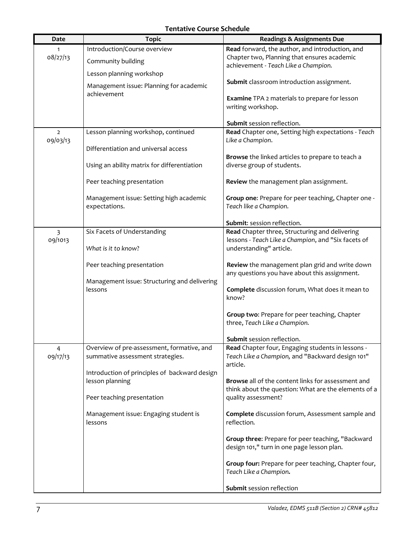# **Tentative Course Schedule**

| Date                       | <b>Topic</b>                                            | <b>Readings &amp; Assignments Due</b>                                               |
|----------------------------|---------------------------------------------------------|-------------------------------------------------------------------------------------|
| 1                          | Introduction/Course overview                            | Read forward, the author, and introduction, and                                     |
| 08/27/13                   | Community building                                      | Chapter two, Planning that ensures academic<br>achievement - Teach Like a Champion. |
|                            | Lesson planning workshop                                |                                                                                     |
|                            | Management issue: Planning for academic                 | Submit classroom introduction assignment.                                           |
|                            | achievement                                             |                                                                                     |
|                            |                                                         | <b>Examine</b> TPA 2 materials to prepare for lesson<br>writing workshop.           |
|                            |                                                         |                                                                                     |
|                            |                                                         | Submit session reflection.                                                          |
| $\overline{2}$<br>09/03/13 | Lesson planning workshop, continued                     | Read Chapter one, Setting high expectations - Teach<br>Like a Champion.             |
|                            | Differentiation and universal access                    |                                                                                     |
|                            |                                                         | Browse the linked articles to prepare to teach a                                    |
|                            | Using an ability matrix for differentiation             | diverse group of students.                                                          |
|                            | Peer teaching presentation                              | Review the management plan assignment.                                              |
|                            | Management issue: Setting high academic                 | Group one: Prepare for peer teaching, Chapter one -                                 |
|                            | expectations.                                           | Teach like a Champion.                                                              |
|                            |                                                         | Submit: session reflection.                                                         |
| 3                          | Six Facets of Understanding                             | Read Chapter three, Structuring and delivering                                      |
| 09/1013                    |                                                         | lessons - Teach Like a Champion, and "Six facets of                                 |
|                            | What is it to know?                                     | understanding" article.                                                             |
|                            | Peer teaching presentation                              | Review the management plan grid and write down                                      |
|                            |                                                         | any questions you have about this assignment.                                       |
|                            | Management issue: Structuring and delivering<br>lessons | Complete discussion forum, What does it mean to                                     |
|                            |                                                         | know?                                                                               |
|                            |                                                         |                                                                                     |
|                            |                                                         | Group two: Prepare for peer teaching, Chapter<br>three, Teach Like a Champion.      |
|                            |                                                         |                                                                                     |
|                            |                                                         | Submit session reflection.                                                          |
| 4<br>09/17/13              | Overview of pre-assessment, formative, and              | Read Chapter four, Engaging students in lessons -                                   |
|                            | summative assessment strategies.                        | Teach Like a Champion, and "Backward design 101"<br>article.                        |
|                            | Introduction of principles of backward design           |                                                                                     |
|                            | lesson planning                                         | Browse all of the content links for assessment and                                  |
|                            | Peer teaching presentation                              | think about the question: What are the elements of a<br>quality assessment?         |
|                            |                                                         |                                                                                     |
|                            | Management issue: Engaging student is                   | Complete discussion forum, Assessment sample and                                    |
|                            | lessons                                                 | reflection.                                                                         |
|                            |                                                         | Group three: Prepare for peer teaching, "Backward                                   |
|                            |                                                         | design 101," turn in one page lesson plan.                                          |
|                            |                                                         | Group four: Prepare for peer teaching, Chapter four,                                |
|                            |                                                         | Teach Like a Champion.                                                              |
|                            |                                                         | Submit session reflection                                                           |